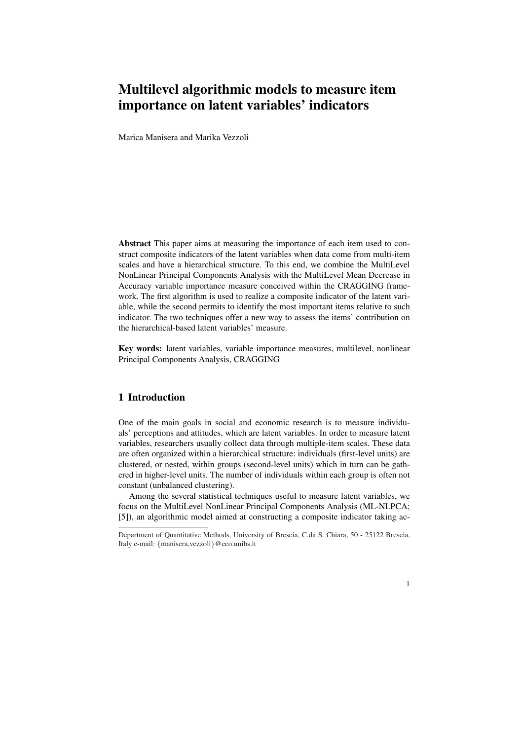# Multilevel algorithmic models to measure item importance on latent variables' indicators

Marica Manisera and Marika Vezzoli

Abstract This paper aims at measuring the importance of each item used to construct composite indicators of the latent variables when data come from multi-item scales and have a hierarchical structure. To this end, we combine the MultiLevel NonLinear Principal Components Analysis with the MultiLevel Mean Decrease in Accuracy variable importance measure conceived within the CRAGGING framework. The first algorithm is used to realize a composite indicator of the latent variable, while the second permits to identify the most important items relative to such indicator. The two techniques offer a new way to assess the items' contribution on the hierarchical-based latent variables' measure.

Key words: latent variables, variable importance measures, multilevel, nonlinear Principal Components Analysis, CRAGGING

## 1 Introduction

One of the main goals in social and economic research is to measure individuals' perceptions and attitudes, which are latent variables. In order to measure latent variables, researchers usually collect data through multiple-item scales. These data are often organized within a hierarchical structure: individuals (first-level units) are clustered, or nested, within groups (second-level units) which in turn can be gathered in higher-level units. The number of individuals within each group is often not constant (unbalanced clustering).

Among the several statistical techniques useful to measure latent variables, we focus on the MultiLevel NonLinear Principal Components Analysis (ML-NLPCA; [5]), an algorithmic model aimed at constructing a composite indicator taking ac-

1

Department of Quantitative Methods, University of Brescia, C.da S. Chiara, 50 - 25122 Brescia, Italy e-mail: {manisera,vezzoli}@eco.unibs.it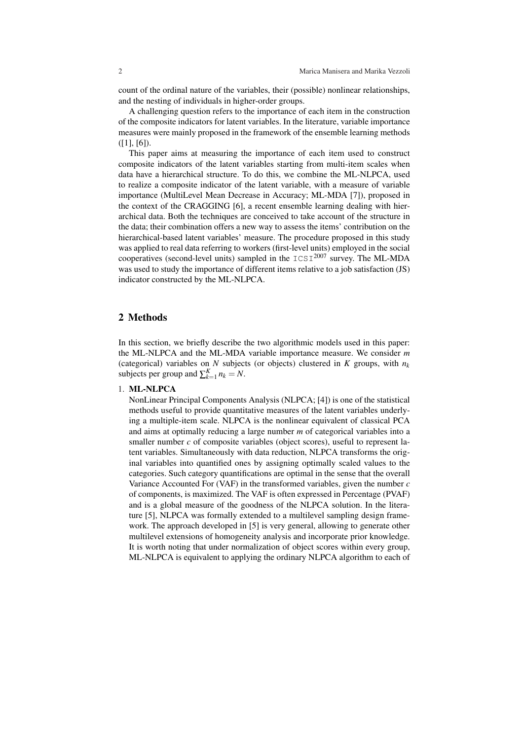count of the ordinal nature of the variables, their (possible) nonlinear relationships, and the nesting of individuals in higher-order groups.

A challenging question refers to the importance of each item in the construction of the composite indicators for latent variables. In the literature, variable importance measures were mainly proposed in the framework of the ensemble learning methods  $(I1, [6])$ .

This paper aims at measuring the importance of each item used to construct composite indicators of the latent variables starting from multi-item scales when data have a hierarchical structure. To do this, we combine the ML-NLPCA, used to realize a composite indicator of the latent variable, with a measure of variable importance (MultiLevel Mean Decrease in Accuracy; ML-MDA [7]), proposed in the context of the CRAGGING [6], a recent ensemble learning dealing with hierarchical data. Both the techniques are conceived to take account of the structure in the data; their combination offers a new way to assess the items' contribution on the hierarchical-based latent variables' measure. The procedure proposed in this study was applied to real data referring to workers (first-level units) employed in the social cooperatives (second-level units) sampled in the  $ICSI^{2007}$  survey. The ML-MDA was used to study the importance of different items relative to a job satisfaction (JS) indicator constructed by the ML-NLPCA.

### 2 Methods

In this section, we briefly describe the two algorithmic models used in this paper: the ML-NLPCA and the ML-MDA variable importance measure. We consider *m* (categorical) variables on *N* subjects (or objects) clustered in *K* groups, with  $n_k$ subjects per group and  $\sum_{k=1}^{K} n_k = N$ .

#### 1. ML-NLPCA

NonLinear Principal Components Analysis (NLPCA; [4]) is one of the statistical methods useful to provide quantitative measures of the latent variables underlying a multiple-item scale. NLPCA is the nonlinear equivalent of classical PCA and aims at optimally reducing a large number *m* of categorical variables into a smaller number *c* of composite variables (object scores), useful to represent latent variables. Simultaneously with data reduction, NLPCA transforms the original variables into quantified ones by assigning optimally scaled values to the categories. Such category quantifications are optimal in the sense that the overall Variance Accounted For (VAF) in the transformed variables, given the number *c* of components, is maximized. The VAF is often expressed in Percentage (PVAF) and is a global measure of the goodness of the NLPCA solution. In the literature [5], NLPCA was formally extended to a multilevel sampling design framework. The approach developed in [5] is very general, allowing to generate other multilevel extensions of homogeneity analysis and incorporate prior knowledge. It is worth noting that under normalization of object scores within every group, ML-NLPCA is equivalent to applying the ordinary NLPCA algorithm to each of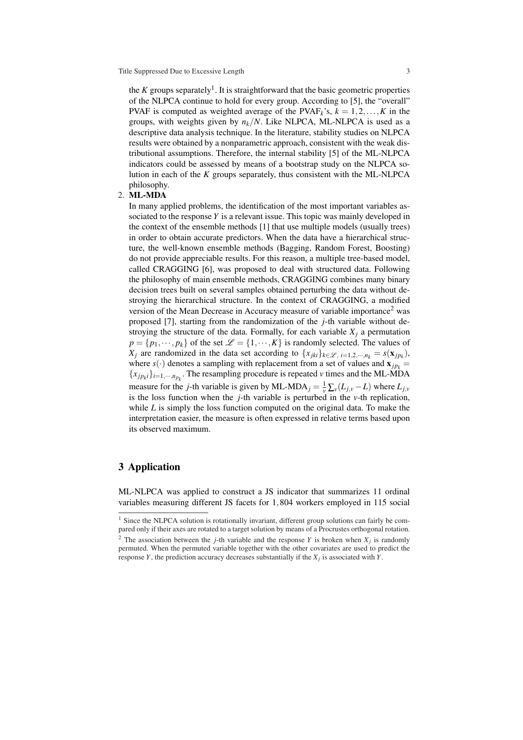the *K* groups separately<sup>1</sup>. It is straightforward that the basic geometric properties of the NLPCA continue to hold for every group. According to [5], the "overall" PVAF is computed as weighted average of the PVAF<sub>k</sub>'s,  $k = 1, 2, ..., K$  in the groups, with weights given by  $n_k/N$ . Like NLPCA, ML-NLPCA is used as a descriptive data analysis technique. In the literature, stability studies on NLPCA results were obtained by a nonparametric approach, consistent with the weak distributional assumptions. Therefore, the internal stability [5] of the ML-NLPCA indicators could be assessed by means of a bootstrap study on the NLPCA solution in each of the *K* groups separately, thus consistent with the ML-NLPCA philosophy.

#### 2. ML-MDA

In many applied problems, the identification of the most important variables associated to the response *Y* is a relevant issue. This topic was mainly developed in the context of the ensemble methods [1] that use multiple models (usually trees) in order to obtain accurate predictors. When the data have a hierarchical structure, the well-known ensemble methods (Bagging, Random Forest, Boosting) do not provide appreciable results. For this reason, a multiple tree-based model, called CRAGGING [6], was proposed to deal with structured data. Following the philosophy of main ensemble methods, CRAGGING combines many binary decision trees built on several samples obtained perturbing the data without destroying the hierarchical structure. In the context of CRAGGING, a modified version of the Mean Decrease in Accuracy measure of variable importance<sup>2</sup> was proposed [7], starting from the randomization of the *j*-th variable without destroying the structure of the data. Formally, for each variable  $X_i$  a permutation  $p = \{p_1, \dots, p_k\}$  of the set  $\mathcal{L} = \{1, \dots, K\}$  is randomly selected. The values of *X*<sup>*j*</sup> are randomized in the data set according to  $\{x_{jki}\}_{k\in\mathscr{L}, i=1,2,\cdots,n_k} = s(\mathbf{x}_{jp_k}),$ where  $s(\cdot)$  denotes a sampling with replacement from a set of values and  $\mathbf{x}_{ip_k} =$  ${x_{j}p_{k}}$ *i*<sub> $j$ </sub><sup>*i*</sup>=1,···,*n*<sub>*p<sub>k</sub>*</sub>. The resampling procedure is repeated *v* times and the ML-MDA measure for the *j*-th variable is given by ML-MDA<sub>*j*</sub> =  $\frac{1}{v} \sum_{v} (L_{j,v} - L)$  where  $L_{j,v}$ is the loss function when the *j*-th variable is perturbed in the *v*-th replication, while *L* is simply the loss function computed on the original data. To make the interpretation easier, the measure is often expressed in relative terms based upon its observed maximum.

## 3 Application

ML-NLPCA was applied to construct a JS indicator that summarizes 11 ordinal variables measuring different JS facets for 1,804 workers employed in 115 social

<sup>&</sup>lt;sup>1</sup> Since the NLPCA solution is rotationally invariant, different group solutions can fairly be compared only if their axes are rotated to a target solution by means of a Procrustes orthogonal rotation.

<sup>&</sup>lt;sup>2</sup> The association between the *j*-th variable and the response *Y* is broken when  $X_j$  is randomly permuted. When the permuted variable together with the other covariates are used to predict the response *Y*, the prediction accuracy decreases substantially if the  $X_j$  is associated with *Y*.